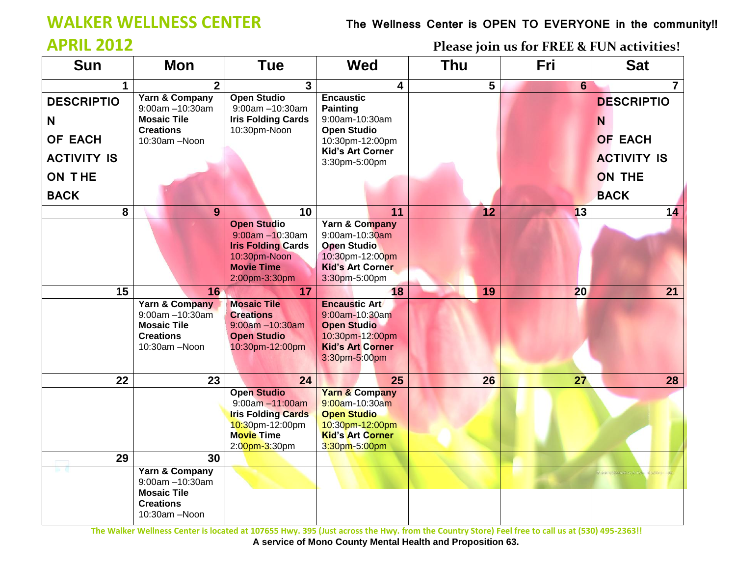## **WALKER WELLNESS CENTER****The Wellness Center is OPEN TO EVERYONE in the community!!**

**APRIL 2012 Please join us for FREE & FUN activities!**

| <b>Sun</b>         | <b>Mon</b>                             | <b>Tue</b>                                         | <b>Wed</b>                                 | <b>Thu</b> | Fri            | <b>Sat</b>         |
|--------------------|----------------------------------------|----------------------------------------------------|--------------------------------------------|------------|----------------|--------------------|
| $\mathbf 1$        | $\overline{2}$                         | $\mathbf{3}$                                       | 4                                          | 5          | $6\phantom{a}$ | $\overline{7}$     |
| <b>DESCRIPTIO</b>  | Yarn & Company<br>9:00am -10:30am      | <b>Open Studio</b><br>9:00am -10:30am              | <b>Encaustic</b><br><b>Painting</b>        |            |                | <b>DESCRIPTIO</b>  |
| N                  | <b>Mosaic Tile</b>                     | <b>Iris Folding Cards</b>                          | 9:00am-10:30am                             |            |                | N                  |
| OF EACH            | <b>Creations</b><br>10:30am -Noon      | 10:30pm-Noon                                       | <b>Open Studio</b>                         |            |                | <b>OF EACH</b>     |
|                    |                                        |                                                    | 10:30pm-12:00pm<br><b>Kid's Art Corner</b> |            |                |                    |
| <b>ACTIVITY IS</b> |                                        |                                                    | 3:30pm-5:00pm                              |            |                | <b>ACTIVITY IS</b> |
| <b>ON THE</b>      |                                        |                                                    |                                            |            |                | <b>ON THE</b>      |
| <b>BACK</b>        |                                        |                                                    |                                            |            |                | <b>BACK</b>        |
| 8                  | 9                                      | 10                                                 | 11                                         | 12         | 13             | 14                 |
|                    |                                        | <b>Open Studio</b>                                 | Yarn & Company                             |            |                |                    |
|                    |                                        | $9:00$ am $-10:30$ am<br><b>Iris Folding Cards</b> | 9:00am-10:30am<br><b>Open Studio</b>       |            |                |                    |
|                    |                                        | 10:30pm-Noon                                       | 10:30pm-12:00pm                            |            |                |                    |
|                    |                                        | <b>Movie Time</b>                                  | <b>Kid's Art Corner</b>                    |            |                |                    |
|                    |                                        | 2:00pm-3:30pm                                      | 3:30pm-5:00pm                              |            |                |                    |
| 15                 | 16                                     | 17                                                 | 18                                         | 19         | 20             | 21                 |
|                    | Yarn & Company                         | <b>Mosaic Tile</b>                                 | <b>Encaustic Art</b>                       |            |                |                    |
|                    | $9:00$ am $-10:30$ am                  | <b>Creations</b>                                   | 9:00am-10:30am                             |            |                |                    |
|                    | <b>Mosaic Tile</b><br><b>Creations</b> | $9:00am - 10:30am$<br><b>Open Studio</b>           | <b>Open Studio</b><br>10:30pm-12:00pm      |            |                |                    |
|                    | 10:30am -Noon                          | 10:30pm-12:00pm                                    | <b>Kid's Art Corner</b>                    |            |                |                    |
|                    |                                        |                                                    | 3:30pm-5:00pm                              |            |                |                    |
|                    |                                        |                                                    |                                            |            |                |                    |
| 22                 | 23                                     | 24                                                 | 25                                         | 26         | 27             | 28                 |
|                    |                                        | <b>Open Studio</b>                                 | <b>Yarn &amp; Company</b>                  |            |                |                    |
|                    |                                        | $9:00am - 11:00am$<br><b>Iris Folding Cards</b>    | 9:00am-10:30am<br><b>Open Studio</b>       |            |                |                    |
|                    |                                        | 10:30pm-12:00pm                                    | 10:30pm-12:00pm                            |            |                |                    |
|                    |                                        | <b>Movie Time</b>                                  | <b>Kid's Art Corner</b>                    |            |                |                    |
|                    |                                        | 2:00pm-3:30pm                                      | 3:30pm-5:00pm                              |            |                |                    |
| 29                 | 30                                     |                                                    |                                            |            |                |                    |
|                    | Yarn & Company                         |                                                    |                                            |            |                |                    |
|                    | 9:00am -10:30am<br><b>Mosaic Tile</b>  |                                                    |                                            |            |                |                    |
|                    | <b>Creations</b>                       |                                                    |                                            |            |                |                    |
|                    | 10:30am -Noon                          |                                                    |                                            |            |                |                    |
|                    |                                        |                                                    |                                            |            |                |                    |

 **The Walker Wellness Center is located at 107655 Hwy. 395 (Just across the Hwy. from the Country Store) Feel free to call us at (530) 495-2363!! A service of Mono County Mental Health and Proposition 63.**